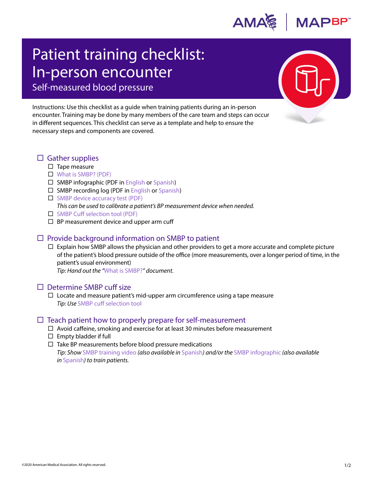

# Patient training checklist: In-person encounter Self-measured blood pressure

Instructions: Use this checklist as a guide when training patients during an in-person encounter. Training may be done by many members of the care team and steps can occur in different sequences. This checklist can serve as a template and help to ensure the necessary steps and components are covered.

## $\Box$  Gather supplies

 $\square$  Tape measure

#### [What is SMBP? \(PDF\)](https://www.ama-assn.org/system/files/2019-01/what-is-smbp.pdf)

- $\square$  SMBP infographic (PDF in [English](https://www.ama-assn.org/system/files/2020-11/smbp-infographic.pdf) or [Spanish](https://www.ama-assn.org/system/files/2020-11/smbp-infographic-spanish.pdf))
- $\square$  SMBP recording log (PDF in [English](https://www.ama-assn.org/system/files/2020-11/smbp-recording-log.pdf) or [Spanish\)](https://www.ama-assn.org/system/files/2020-11/smbp-recording-log-spanish.pdf)
- $\Box$  [SMBP device accuracy test \(PDF\)](https://www.ama-assn.org/system/files/2019-04/smbp-device-accuracy-test.pdf)
	- *This can be used to calibrate a patient's BP measurement device when needed.*
- $\Box$  SMBP [Cuff selection tool \(PDF\)](https://www.ama-assn.org/system/files/2020-11/smbp-cuff-selection.pdf)
- $\Box$  BP measurement device and upper arm cuff

## $\Box$  Provide background information on SMBP to patient

 $\Box$  Explain how SMBP allows the physician and other providers to get a more accurate and complete picture of the patient's blood pressure outside of the office (more measurements, over a longer period of time, in the patient's usual environment)

*Tip: Hand out the "*[What is SMBP?](https://www.ama-assn.org/system/files/2019-01/what-is-smbp.pdf)*" document.*

#### $\Box$  Determine SMBP cuff size

 $\Box$  Locate and measure patient's mid-upper arm circumference using a tape measure *Tip: Use* [SMBP cuff selection tool](https://www.ama-assn.org/system/files/2020-11/smbp-cuff-selection.pdf)

#### $\Box$  Teach patient how to properly prepare for self-measurement

- $\Box$  Avoid caffeine, smoking and exercise for at least 30 minutes before measurement
- $\square$  Empty bladder if full
- $\Box$  Take BP measurements before blood pressure medications *Tip: Show* [SMBP training video](https://www.youtube.com/watch?v=S1esBNGtfJc&feature=youtu.be) *(also available in* [Spanish](https://www.youtube.com/watch?v=QVdvbymoyOU&feature=youtu.be)*) and/or the* [SMBP infographic](https://www.ama-assn.org/system/files/2020-11/smbp-infographic.pdf) *(also available in* [Spanish](https://www.ama-assn.org/sites/ama-assn.org/files/2019-07/SMBP-Training-Spanish.mp4)*) to train patients.*